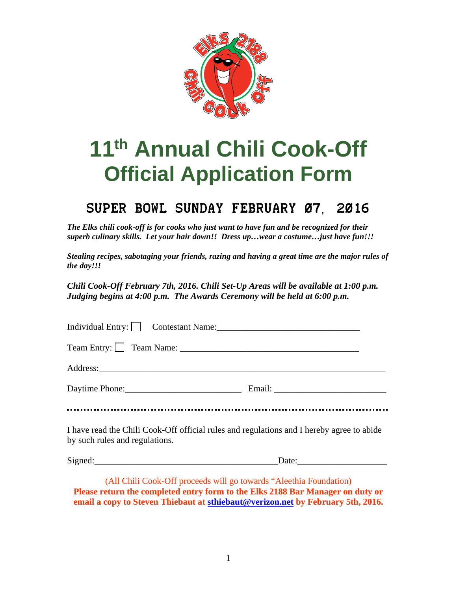

# **11th Annual Chili Cook-Off Official Application Form**

## Super Bowl Sunday February 07, 2016

*The Elks chili cook-off is for cooks who just want to have fun and be recognized for their superb culinary skills. Let your hair down!! Dress up…wear a costume…just have fun!!!* 

*Stealing recipes, sabotaging your friends, razing and having a great time are the major rules of the day!!!* 

*Chili Cook-Off February 7th, 2016. Chili Set-Up Areas will be available at 1:00 p.m. Judging begins at 4:00 p.m. The Awards Ceremony will be held at 6:00 p.m.* 

| I have read the Chili Cook-Off official rules and regulations and I hereby agree to abide<br>by such rules and regulations. |  |
|-----------------------------------------------------------------------------------------------------------------------------|--|
| Signed: Date: Date:                                                                                                         |  |

(All Chili Cook-Off proceeds will go towards "Aleethia Foundation) **Please return the completed entry form to the Elks 2188 Bar Manager on duty or email a copy to Steven Thiebaut at sthiebaut@verizon.net by February 5th, 2016.**